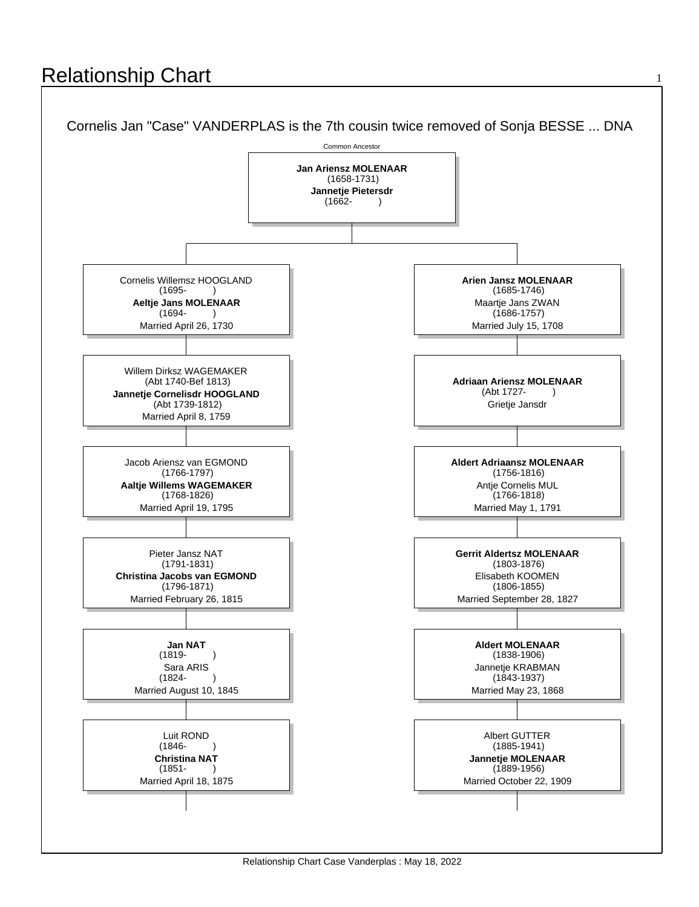## **Relationship Chart**